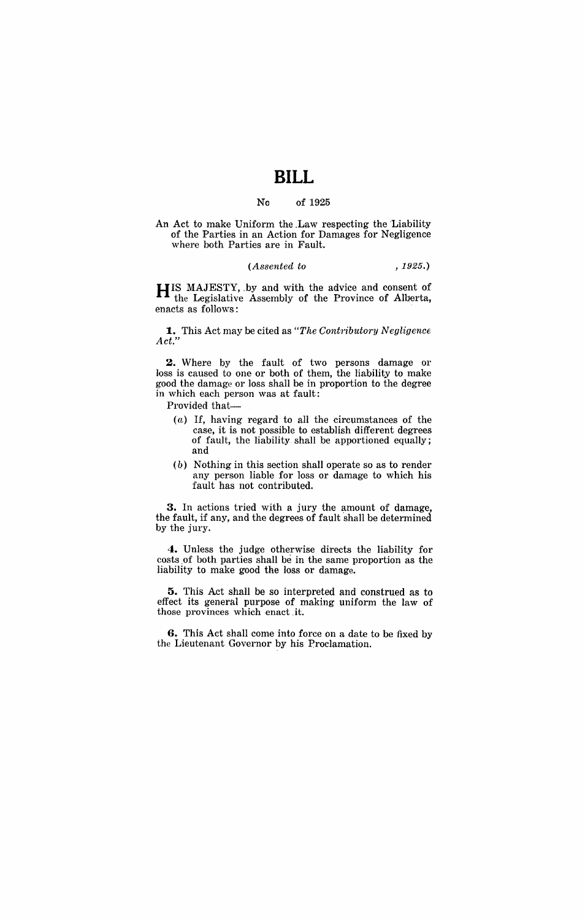# **BILL**

#### No of 1925

An Act to make Uniform the .Law respecting the Liability of the Parties in an Action for Damages for Negligence where both Parties are in Fault.

### *(Assented to* ,1925.)

**HIS** MAJESTY, .by and with the advice and consent of the Legislative Assembly of the Province of Alberta, enacts as follows:

**1.** This Act may be cited as "The Contributory Negligence" *Act."* 

**2.** Where by the fault of two persons damage or loss is caused to one or both of them, the liability to make good the damage or loss shall be in proportion to the degree in which each person was at fault:

Provided that-

- $(a)$  If, having regard to all the circumstances of the case, it is not possible to establish different degrees of fault, the liability. shall be apportioned equally; and
- (b) Nothing in this section shall operate so as to render any person liable for loss or damage to which his fault has not contributed.

**3.** In actions tried with a jury the amount of damage, the fault, if any, and the degrees of fault shall be determined by the jury.

**4.** Unless the judge otherwise directs the liability for costs of both parties shall be in the same proportion as the liability to make good the loss or damage.

**5.** This Act shall be so interpreted and construed as to effect its general purpose of making uniform the law of those provinces which enact .it.

**6.** This Act shall come into force on a date to be fixed by the Lieutenant Governor by his Proclamation.